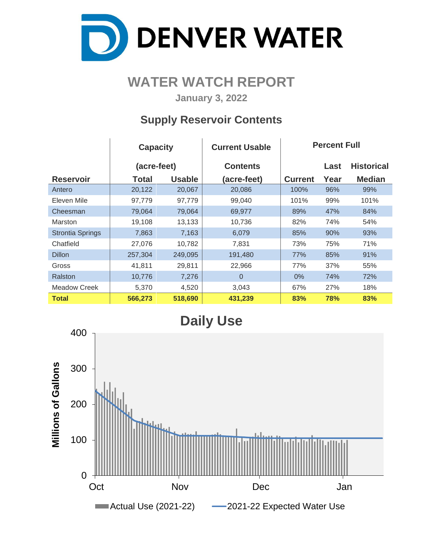

## **WATER WATCH REPORT**

**January 3, 2022**

### **Supply Reservoir Contents**

|                         | <b>Capacity</b> |               | <b>Current Usable</b> |                | <b>Percent Full</b> |                   |  |  |
|-------------------------|-----------------|---------------|-----------------------|----------------|---------------------|-------------------|--|--|
|                         | (acre-feet)     |               | <b>Contents</b>       |                | Last                | <b>Historical</b> |  |  |
| <b>Reservoir</b>        | <b>Total</b>    | <b>Usable</b> | (acre-feet)           | <b>Current</b> | Year                | <b>Median</b>     |  |  |
| Antero                  | 20,122          | 20,067        | 20,086                | 100%           | 96%                 | 99%               |  |  |
| Eleven Mile             | 97,779          | 97,779        | 99,040                | 101%           | 99%                 | 101%              |  |  |
| Cheesman                | 79,064          | 79,064        | 69,977                | 89%            | 47%                 | 84%               |  |  |
| Marston                 | 19,108          | 13,133        | 10,736                | 82%            | 74%                 | 54%               |  |  |
| <b>Strontia Springs</b> | 7,863           | 7,163         | 6,079                 | 85%            | 90%                 | 93%               |  |  |
| Chatfield               | 27,076          | 10,782        | 7,831                 | 73%            | 75%                 | 71%               |  |  |
| <b>Dillon</b>           | 257,304         | 249,095       | 191,480               | 77%            | 85%                 | 91%               |  |  |
| Gross                   | 41,811          | 29,811        | 22,966                | 77%            | 37%                 | 55%               |  |  |
| Ralston                 | 10,776          | 7,276         | $\Omega$              | $0\%$          | 74%                 | 72%               |  |  |
| <b>Meadow Creek</b>     | 5,370           | 4,520         | 3,043                 | 67%            | 27%                 | 18%               |  |  |
| <b>Total</b>            | 566,273         | 518,690       | 431,239               | 83%            | 78%                 | 83%               |  |  |

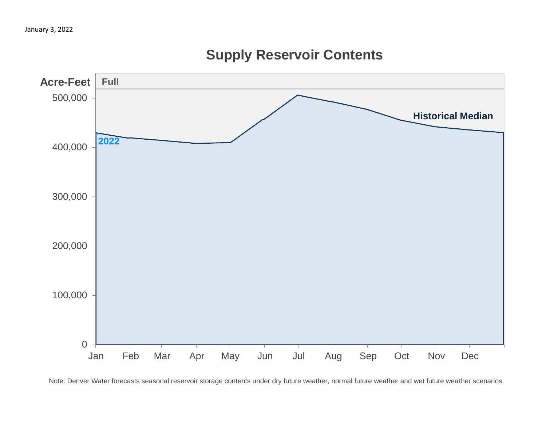

# **Supply Reservoir Contents**

Note: Denver Water forecasts seasonal reservoir storage contents under dry future weather, normal future weather and wet future weather scenarios.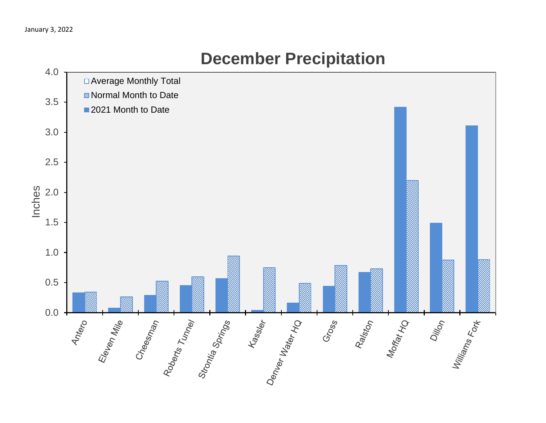

# **December Precipitation**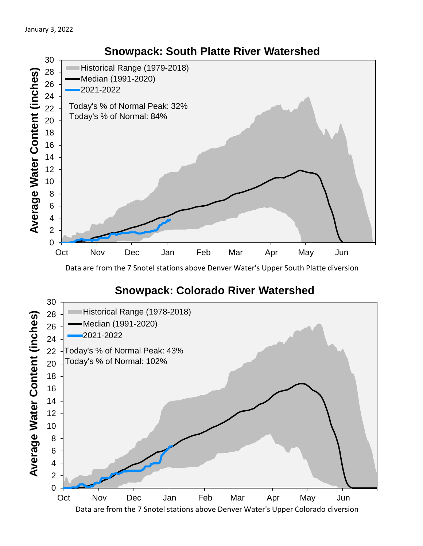

Data are from the 7 Snotel stations above Denver Water's Upper South Platte diversion

#### **Snowpack: Colorado River Watershed**

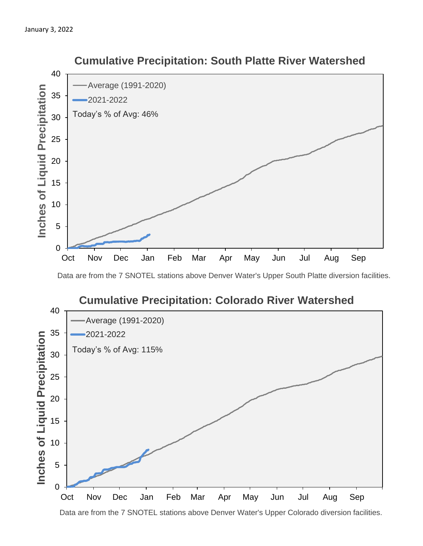

 **Cumulative Precipitation: South Platte River Watershed**

Data are from the 7 SNOTEL stations above Denver Water's Upper South Platte diversion facilities.



Data are from the 7 SNOTEL stations above Denver Water's Upper Colorado diversion facilities.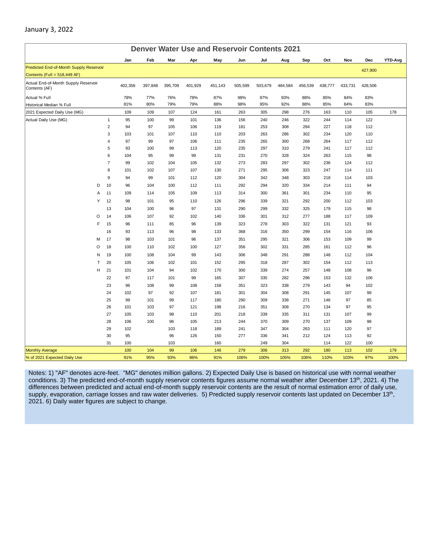| <b>Denver Water Use and Reservoir Contents 2021</b>   |                     |           |            |            |            |            |            |            |            |            |            |            |            |         |
|-------------------------------------------------------|---------------------|-----------|------------|------------|------------|------------|------------|------------|------------|------------|------------|------------|------------|---------|
|                                                       |                     | Jan       | Feb        | Mar        | Apr        | May        | Jun        | Jul        | Aug        | Sep        | Oct        | Nov        | Dec        | YTD-Avg |
| Predicted End-of-Month Supply Reservoir               |                     |           |            |            |            |            |            |            |            |            |            |            | 427,900    |         |
| Contents (Full = 518,449 AF)                          |                     |           |            |            |            |            |            |            |            |            |            |            |            |         |
| Actual End-of-Month Supply Reservoir<br>Contents (AF) |                     | 402,356   | 397,848    | 395,709    | 401,929    | 451,143    | 505,599    | 503,679    | 484,584    | 456,539    | 438,777    | 433,731    | 428,506    |         |
| Actual % Full                                         |                     | 78%       | 77%        | 76%        | 78%        | 87%        | 98%        | 97%        | 93%        | 88%        | 85%        | 84%        | 83%        |         |
| Historical Median % Full                              |                     | 81%       | 80%        | 79%        | 79%        | 88%        | 98%        | 95%        | 92%        | 88%        | 85%        | 84%        | 83%        |         |
| 2021 Expected Daily Use (MG)                          |                     | 109       | 109        | 107        | 124        | 161        | 263        | 305        | 298        | 276        | 163        | 110        | 105        | 178     |
| Actual Daily Use (MG)                                 | $\mathbf{1}$        | 95        | 100        | 99         | 101        | 136        | 156        | 240        | 246        | 322        | 244        | 114        | 122        |         |
|                                                       | $\overline{2}$      | 94        | 97         | 105        | 106        | 119        | 181        | 253        | 308        | 284        | 227        | 118        | 112        |         |
|                                                       | 3                   | 103       | 101        | 107        | 110        | 110        | 203        | 263        | 286        | 302        | 234        | 120        | 110        |         |
|                                                       | 4                   | 97        | 99         | 97         | 106        | 111        | 235        | 265        | 300        | 268        | 264        | 117        | 112        |         |
|                                                       | 5                   | 93        | 100        | 99         | 113        | 120        | 235        | 297        | 310        | 279        | 241        | 117        | 112        |         |
|                                                       | 6                   | 104       | 95         | 99         | 99         | 131        | 231        | 270        | 328        | 324        | 263        | 115        | 98         |         |
|                                                       | $\overline{7}$<br>8 | 99<br>101 | 102<br>102 | 104<br>107 | 105<br>107 | 132<br>130 | 273<br>271 | 283<br>295 | 297<br>306 | 302<br>323 | 236<br>247 | 124<br>114 | 112<br>111 |         |
|                                                       |                     |           |            |            |            |            |            |            |            |            |            |            |            |         |
|                                                       | $\boldsymbol{9}$    | 94        | 99         | 101        | 112        | 120        | 304        | 342        | 348        | 303        | 218        | 114        | 103        |         |
| D                                                     | 10                  | 96        | 104        | 100        | 112        | 111        | 292        | 294        | 320        | 334        | 214        | 111        | 94         |         |
| Α                                                     | 11                  | 109       | 114        | 105        | 109        | 113        | 314        | 300        | 361        | 301        | 234        | 110        | 95         |         |
| Υ                                                     | 12                  | 98        | 101        | 95         | 110        | 126        | 296        | 339        | 321        | 292        | 200        | 112        | 103        |         |
|                                                       | 13                  | 104       | 100        | 96         | 97         | 131        | 290        | 299        | 332        | 325        | 179        | 115        | 98         |         |
| O                                                     | 14                  | 106       | 107        | 92         | 102        | 140        | 336        | 301        | 312        | 277        | 188        | 117        | 109        |         |
| F                                                     | 15                  | 96        | 111        | 85         | 96         | 139        | 323        | 278        | 303        | 322        | 131        | 121        | 93         |         |
|                                                       | 16                  | 93        | 113        | 96         | 98         | 133        | 368        | 316        | 350        | 299        | 154        | 116        | 106        |         |
| M                                                     | 17                  | 98        | 103        | 101        | 96         | 137        | 351        | 295        | 321        | 306        | 153        | 109        | 99         |         |
| O                                                     | 18                  | 100       | 110        | 102        | 100        | 127        | 356        | 302        | 331        | 285        | 161        | 112        | 96         |         |
| N                                                     | 19                  | 100       | 108        | 104        | 99         | 143        | 306        | 348        | 291        | 288        | 148        | 112        | 104        |         |
| $\mathsf{T}$                                          | 20                  | 105       | 106        | 102        | 101        | 152        | 295        | 318        | 287        | 302        | 154        | 112        | 113        |         |
| H                                                     | 21                  | 101       | 104        | 94         | 102        | 170        | 300        | 339        | 274        | 257        | 148        | 108        | 96         |         |
|                                                       | 22                  | 97        | 117        | 101        | 99         | 165        | 307        | 335        | 282        | 296        | 153        | 132        | 106        |         |
|                                                       | 23                  | 96        | 108        | 99         | 108        | 158        | 351        | 323        | 338        | 279        | 143        | 94         | 102        |         |
|                                                       | 24                  | 102       | 97         | 92         | 107        | 181        | 301        | 304        | 308        | 291        | 145        | 107        | 99         |         |
|                                                       | 25                  | 99        | 101        | 99         | 117        | 180        | 290        | 309        | 338        | 271        | 146        | 97         | 85         |         |
|                                                       | 26                  | 101       | 103        | 97         | 121        | 198        | 216        | 351        | 308        | 270        | 134        | 97         | 95         |         |
|                                                       | 27                  | 105       | 103        | 98         | 110        | 201        | 218        | 339        | 335        | 311        | 131        | 107        | 99         |         |
|                                                       | 28                  | 106       | 100        | 96         | 105        | 213        | 244        | 370        | 309        | 270        | 137        | 109        | 98         |         |
|                                                       | 29                  | 102       |            | 103        | 118<br>126 | 189        | 241        | 347        | 304        | 263        | 111        | 120        | 97         |         |
|                                                       | 30<br>31            | 95<br>100 |            | 96<br>103  |            | 150<br>160 | 277        | 336<br>249 | 341<br>304 | 212        | 124<br>114 | 113<br>122 | 92<br>100  |         |
| <b>Monthly Average</b>                                |                     | 100       | 104        | 99         | 106        | 146        | 279        | 306        | 313        | 292        | 180        | 113        | 102        | 179     |
| % of 2021 Expected Daily Use                          |                     | 91%       | 95%        | 93%        | 86%        | 91%        | 106%       | 100%       | 105%       | 106%       | 110%       | 103%       | 97%        | 100%    |

January 3, 2022

#### Notes: 1) "AF" denotes acre-feet. "MG" denotes million gallons. 2) Expected Daily Use is based on historical use with normal weather conditions. 3) The predicted end-of-month supply reservoir contents figures assume normal weather after December 13<sup>th</sup>, 2021. 4) The differences between predicted and actual end-of-month supply reservoir contents are the result of normal estimation error of daily use, supply, evaporation, carriage losses and raw water deliveries. 5) Predicted supply reservoir contents last updated on December 13<sup>th</sup>, 2021. 6) Daily water figures are subject to change.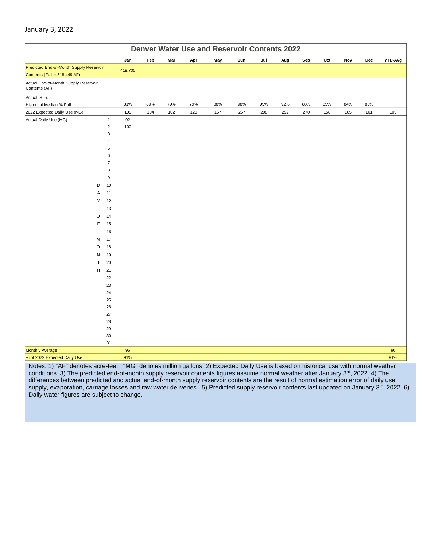#### January 3, 2022

|                                                       |                  | <b>Denver Water Use and Reservoir Contents 2022</b> |     |     |     |     |     |     |     |     |     |     |     |           |
|-------------------------------------------------------|------------------|-----------------------------------------------------|-----|-----|-----|-----|-----|-----|-----|-----|-----|-----|-----|-----------|
|                                                       |                  | Jan                                                 | Feb | Mar | Apr | May | Jun | Jul | Aug | Sep | Oct | Nov | Dec | YTD-Avg   |
| Predicted End-of-Month Supply Reservoir               |                  | 419,700                                             |     |     |     |     |     |     |     |     |     |     |     |           |
| Contents (Full = 518,449 AF)                          |                  |                                                     |     |     |     |     |     |     |     |     |     |     |     |           |
| Actual End-of-Month Supply Reservoir<br>Contents (AF) |                  |                                                     |     |     |     |     |     |     |     |     |     |     |     |           |
| Actual % Full                                         |                  |                                                     |     |     |     |     |     |     |     |     |     |     |     |           |
| Historical Median % Full                              |                  | 81%                                                 | 80% | 79% | 79% | 88% | 98% | 95% | 92% | 88% | 85% | 84% | 83% |           |
| 2022 Expected Daily Use (MG)                          |                  | 105                                                 | 104 | 102 | 120 | 157 | 257 | 298 | 292 | 270 | 158 | 105 | 101 | 105       |
| Actual Daily Use (MG)                                 | $\mathbf{1}$     | 92                                                  |     |     |     |     |     |     |     |     |     |     |     |           |
|                                                       | $\mathbf 2$      | 100                                                 |     |     |     |     |     |     |     |     |     |     |     |           |
|                                                       | 3                |                                                     |     |     |     |     |     |     |     |     |     |     |     |           |
|                                                       | $\sqrt{4}$       |                                                     |     |     |     |     |     |     |     |     |     |     |     |           |
|                                                       | 5<br>6           |                                                     |     |     |     |     |     |     |     |     |     |     |     |           |
|                                                       | $\overline{7}$   |                                                     |     |     |     |     |     |     |     |     |     |     |     |           |
|                                                       | 8                |                                                     |     |     |     |     |     |     |     |     |     |     |     |           |
|                                                       | $\boldsymbol{9}$ |                                                     |     |     |     |     |     |     |     |     |     |     |     |           |
|                                                       | 10<br>D          |                                                     |     |     |     |     |     |     |     |     |     |     |     |           |
|                                                       | 11<br>Α          |                                                     |     |     |     |     |     |     |     |     |     |     |     |           |
|                                                       | 12<br>Υ          |                                                     |     |     |     |     |     |     |     |     |     |     |     |           |
|                                                       | 13               |                                                     |     |     |     |     |     |     |     |     |     |     |     |           |
|                                                       | $\circ$<br>14    |                                                     |     |     |     |     |     |     |     |     |     |     |     |           |
|                                                       | F<br>15          |                                                     |     |     |     |     |     |     |     |     |     |     |     |           |
|                                                       | 16               |                                                     |     |     |     |     |     |     |     |     |     |     |     |           |
|                                                       | 17<br>M          |                                                     |     |     |     |     |     |     |     |     |     |     |     |           |
|                                                       | $\circ$<br>18    |                                                     |     |     |     |     |     |     |     |     |     |     |     |           |
|                                                       | 19<br>N          |                                                     |     |     |     |     |     |     |     |     |     |     |     |           |
|                                                       | 20<br>т          |                                                     |     |     |     |     |     |     |     |     |     |     |     |           |
|                                                       | H<br>21          |                                                     |     |     |     |     |     |     |     |     |     |     |     |           |
|                                                       | 22               |                                                     |     |     |     |     |     |     |     |     |     |     |     |           |
|                                                       | 23               |                                                     |     |     |     |     |     |     |     |     |     |     |     |           |
|                                                       | 24               |                                                     |     |     |     |     |     |     |     |     |     |     |     |           |
|                                                       | 25               |                                                     |     |     |     |     |     |     |     |     |     |     |     |           |
|                                                       | 26               |                                                     |     |     |     |     |     |     |     |     |     |     |     |           |
|                                                       | 27               |                                                     |     |     |     |     |     |     |     |     |     |     |     |           |
|                                                       | 28               |                                                     |     |     |     |     |     |     |     |     |     |     |     |           |
|                                                       | 29               |                                                     |     |     |     |     |     |     |     |     |     |     |     |           |
|                                                       | $30\,$           |                                                     |     |     |     |     |     |     |     |     |     |     |     |           |
|                                                       | 31               |                                                     |     |     |     |     |     |     |     |     |     |     |     |           |
| <b>Monthly Average</b>                                |                  | 96<br>91%                                           |     |     |     |     |     |     |     |     |     |     |     | 96<br>91% |
| % of 2022 Expected Daily Use                          |                  |                                                     |     |     |     |     |     |     |     |     |     |     |     |           |

Notes: 1) "AF" denotes acre-feet. "MG" denotes million gallons. 2) Expected Daily Use is based on historical use with normal weather conditions. 3) The predicted end-of-month supply reservoir contents figures assume normal weather after January 3<sup>rd</sup>, 2022. 4) The differences between predicted and actual end-of-month supply reservoir contents are the result of normal estimation error of daily use, supply, evaporation, carriage losses and raw water deliveries. 5) Predicted supply reservoir contents last updated on January 3rd, 2022. 6) Daily water figures are subject to change.